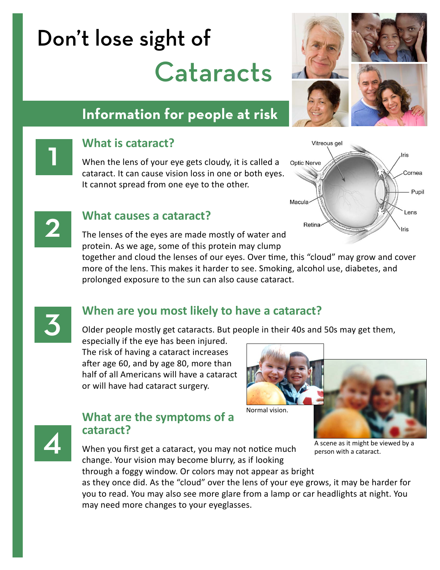# Don't lose sight of **Cataracts**





# **What is cataract?**

When the lens of your eye gets cloudy, it is called a cataract. It can cause vision loss in one or both eyes. It cannot spread from one eye to the other.





**2 What causes a cataract?**<br>The lenses of the eyes are made mostly of water and protein. As we age, some of this protein may clump

> together and cloud the lenses of our eyes. Over time, this "cloud" may grow and cover more of the lens. This makes it harder to see. Smoking, alcohol use, diabetes, and prolonged exposure to the sun can also cause cataract.



### 3 **When are you most likely to have a cataract?**

Older people mostly get cataracts. But people in their 40s and 50s may get them,

especially if the eye has been injured. The risk of having a cataract increases after age 60, and by age 80, more than half of all Americans will have a cataract or will have had cataract surgery.





### **What are the symptoms of a cataract?**

When you first get a cataract, you may not notice much change. Your vision may become blurry, as if looking

through a foggy window. Or colors may not appear as bright

A scene as it might be viewed by a person with a cataract.

as they once did. As the "cloud" over the lens of your eye grows, it may be harder for you to read. You may also see more glare from a lamp or car headlights at night. You may need more changes to your eyeglasses.